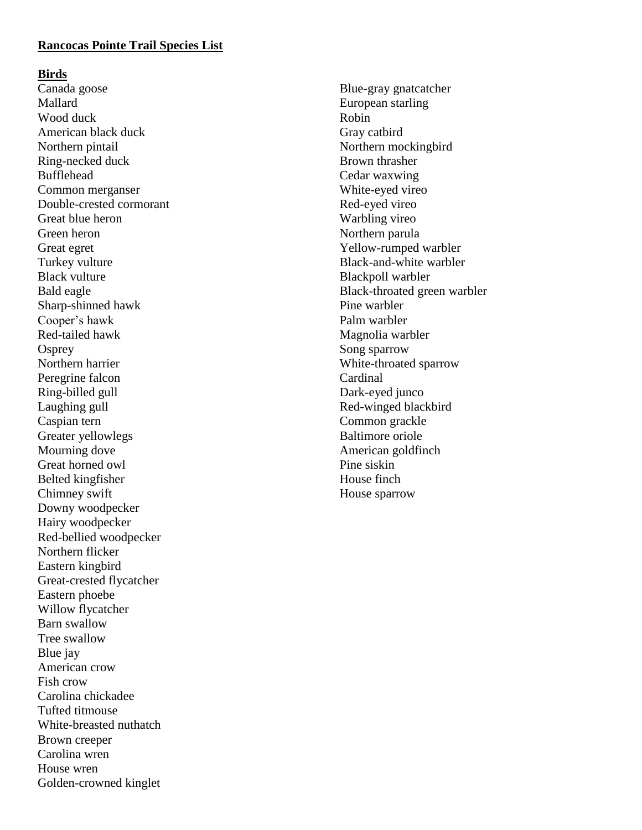## **Rancocas Pointe Trail Species List**

#### **Birds**

Canada goose Mallard Wood duck American black duck Northern pintail Ring-necked duck Bufflehead Common merganser Double-crested cormorant Great blue heron Green heron Great egret Turkey vulture Black vulture Bald eagle Sharp-shinned hawk Cooper's hawk Red-tailed hawk **Osprey** Northern harrier Peregrine falcon Ring-billed gull Laughing gull Caspian tern Greater yellowlegs Mourning dove Great horned owl Belted kingfisher Chimney swift Downy woodpecker Hairy woodpecker Red-bellied woodpecker Northern flicker Eastern kingbird Great-crested flycatcher Eastern phoebe Willow flycatcher Barn swallow Tree swallow Blue jay American crow Fish crow Carolina chickadee Tufted titmouse White-breasted nuthatch Brown creeper Carolina wren House wren Golden-crowned kinglet

Blue-gray gnatcatcher European starling Robin Gray catbird Northern mockingbird Brown thrasher Cedar waxwing White-eyed vireo Red-eyed vireo Warbling vireo Northern parula Yellow-rumped warbler Black-and-white warbler Blackpoll warbler Black-throated green warbler Pine warbler Palm warbler Magnolia warbler Song sparrow White-throated sparrow Cardinal Dark-eyed junco Red-winged blackbird Common grackle Baltimore oriole American goldfinch Pine siskin House finch House sparrow